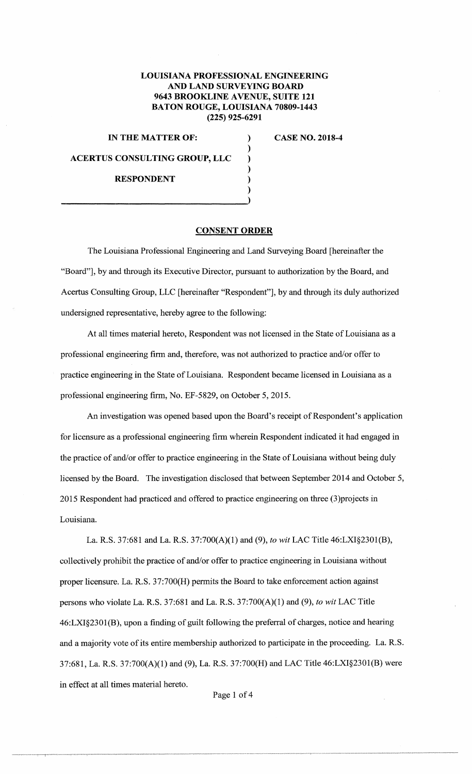## **LOUISIANA PROFESSIONAL ENGINEERING AND LAND SURVEYING BOARD 9643 BROOKLINE A VENUE, SUITE 121 BATON ROUGE, LOUISIANA 70809-1443 (225) 925-6291**

) ) ) ) ) )

**IN THE MATTER OF:** (2018-4)

**ACERTUS CONSULTING GROUP, LLC** 

**RESPONDENT** 

## **CONSENT ORDER**

The Louisiana Professional Engineering and Land Surveying Board [hereinafter the "Board"], by and through its Executive Director, pursuant to authorization by the Board, and Acertus Consulting Group, LLC [hereinafter "Respondent"], by and through its duly authorized undersigned representative, hereby agree to the following:

At all times material hereto, Respondent was not licensed in the State of Louisiana as a professional engineering firm and, therefore, was not authorized to practice and/or offer to practice engineering in the State of Louisiana. Respondent became licensed in Louisiana as a professional engineering firm, No. EF-5829, on October 5, 2015.

An investigation was opened based upon the Board's receipt of Respondent's application for licensure as a professional engineering firm wherein Respondent indicated it had engaged in the practice of and/or offer to practice engineering in the State of Louisiana without being duly licensed by the Board. The investigation disclosed that between September 2014 and October 5, 2015 Respondent had practiced and offered to practice engineering on three (3)projects in Louisiana.

La. R.S. 37:681 and La. R.S. 37:700(A)(l) and (9), *to wit* LAC Title 46:LXI§230I(B), collectively prohibit the practice of and/or offer to practice engineering in Louisiana without proper licensure. La. R.S. 37:700(H) permits the Board to take enforcement action against persons who violate La. R.S.  $37:681$  and La. R.S.  $37:700(A)(1)$  and (9), *to wit* LAC Title 46:LXI§2301 (B), upon a finding of guilt following the preferral of charges, notice and hearing and a majority vote of its entire membership authorized to participate in the proceeding. La. R.S. 37:681, La. R.S. 37:700(A)(l) and (9), La. R.S. 37:700(H) and LAC Title 46:LXI§2301(B) were in effect at all times material hereto.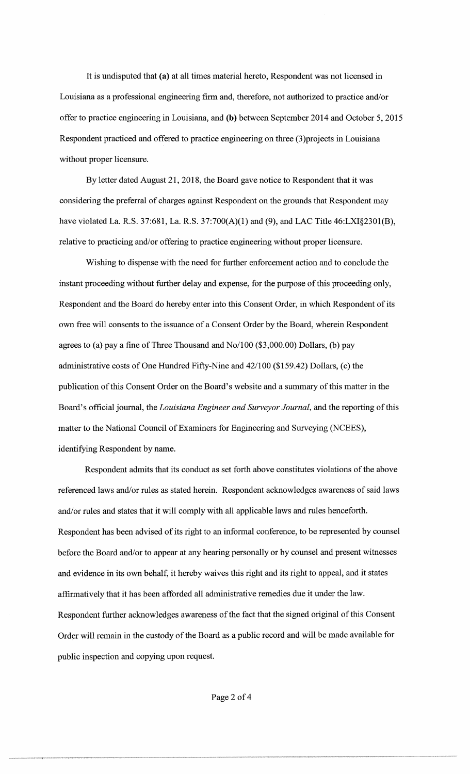It is undisputed that (a) at all times material hereto, Respondent was not licensed in Louisiana as a professional engineering firm and, therefore, not authorized to practice and/or offer to practice engineering in Louisiana, and (b) between September 2014 and October 5, 2015 Respondent practiced and offered to practice engineering on three (3)projects in Louisiana without proper licensure.

By letter dated August 21, 2018, the Board gave notice to Respondent that it was considering the preferral of charges against Respondent on the grounds that Respondent may have violated La. R.S. 37:681, La. R.S. 37:700(A)(l) and (9), and LAC Title 46:LXI§230l(B), relative to practicing and/or offering to practice engineering without proper licensure.

Wishing to dispense with the need for further enforcement action and to conclude the instant proceeding without further delay and expense, for the purpose of this proceeding only, Respondent and the Board do hereby enter into this Consent Order, in which Respondent of its own free will consents to the issuance of a Consent Order by the Board, wherein Respondent agrees to (a) pay a fine of Three Thousand and No/100 (\$3,000.00) Dollars, (b) pay administrative costs of One Hundred Fifty-Nine and 42/100 (\$159.42) Dollars, (c) the publication of this Consent Order on the Board's website and a summary of this matter in the Board's official journal, the *Louisiana Engineer and Surveyor Journal,* and the reporting of this matter to the National Council of Examiners for Engineering and Surveying (NCEES), identifying Respondent by name.

Respondent admits that its conduct as set forth above constitutes violations of the above referenced laws and/or rules as stated herein. Respondent acknowledges awareness of said laws and/or rules and states that it will comply with all applicable laws and rules henceforth. Respondent has been advised of its right to an informal conference, to be represented by counsel before the Board and/or to appear at any hearing personally or by counsel and present witnesses and evidence in its own behalf, it hereby waives this right and its right to appeal, and it states affirmatively that it has been afforded all administrative remedies due it under the law. Respondent further acknowledges awareness of the fact that the signed original of this Consent Order will remain in the custody of the Board as a public record and will be made available for public inspection and copying upon request.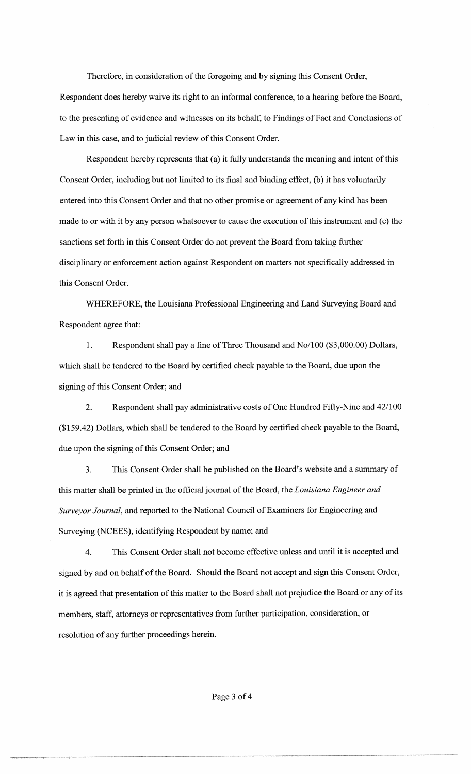Therefore, in consideration of the foregoing and by signing this Consent Order, Respondent does hereby waive its right to an informal conference, to a hearing before the Board, to the presenting of evidence and witnesses on its behalf, to Findings of Fact and Conclusions of Law in this case, and to judicial review of this Consent Order.

Respondent hereby represents that (a) it fully understands the meaning and intent of this Consent Order, including but not limited to its final and binding effect, (b) it has voluntarily entered into this Consent Order and that no other promise or agreement of any kind has been made to or with it by any person whatsoever to cause the execution of this instrument and ( c) the sanctions set forth in this Consent Order do not prevent the Board from taking further disciplinary or enforcement action against Respondent on matters not specifically addressed in this Consent Order.

WHEREFORE, the Louisiana Professional Engineering and Land Surveying Board and Respondent agree that:

1. Respondent shall pay a fine of Three Thousand and No/100 (\$3,000.00) Dollars, which shall be tendered to the Board by certified check payable to the Board, due upon the signing of this Consent Order; and

2. Respondent shall pay administrative costs of One Hundred Fifty-Nine and 42/100 (\$159.42) Dollars, which shall be tendered to the Board by certified check payable to the Board, due upon the signing of this Consent Order; and

3. This Consent Order shall be published on the Board's website and a summary of this matter shall be printed in the official journal of the Board, the *Louisiana Engineer and Surveyor Journal,* and reported to the National Council of Examiners for Engineering and Surveying (NCEES), identifying Respondent by name; and

4. This Consent Order shall not become effective unless and until it is accepted and signed by and on behalf of the Board. Should the Board not accept and sign this Consent Order, it is agreed that presentation of this matter to the Board shall not prejudice the Board or any of its members, staff, attorneys or representatives from further participation, consideration, or resolution of any further proceedings herein.

-----··-···•~-,....,..-,-1-,,~.\_,,,..,...,.\_,.,\_.,.\_,,\_,,,,\_,,...,\_,,,...,\_,..\_,,,\_ .... ~~--~ ..... -····....,---,,,\_ .. ,..,., ....... ,\_.,...., ........ ""'"''-'',..,,.,,,,\_,,\_.,=~~·~---"'""'""""""~~-"'-·-----···---